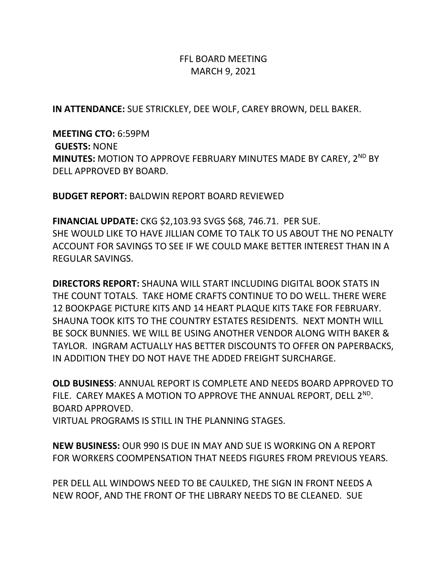## FFL BOARD MEETING MARCH 9, 2021

**IN ATTENDANCE:** SUE STRICKLEY, DEE WOLF, CAREY BROWN, DELL BAKER.

**MEETING CTO:** 6:59PM **GUESTS:** NONE **MINUTES:** MOTION TO APPROVE FEBRUARY MINUTES MADE BY CAREY, 2<sup>ND</sup> BY DELL APPROVED BY BOARD.

**BUDGET REPORT:** BALDWIN REPORT BOARD REVIEWED

**FINANCIAL UPDATE:** CKG \$2,103.93 SVGS \$68, 746.71. PER SUE. SHE WOULD LIKE TO HAVE JILLIAN COME TO TALK TO US ABOUT THE NO PENALTY ACCOUNT FOR SAVINGS TO SEE IF WE COULD MAKE BETTER INTEREST THAN IN A REGULAR SAVINGS.

**DIRECTORS REPORT:** SHAUNA WILL START INCLUDING DIGITAL BOOK STATS IN THE COUNT TOTALS. TAKE HOME CRAFTS CONTINUE TO DO WELL. THERE WERE 12 BOOKPAGE PICTURE KITS AND 14 HEART PLAQUE KITS TAKE FOR FEBRUARY. SHAUNA TOOK KITS TO THE COUNTRY ESTATES RESIDENTS. NEXT MONTH WILL BE SOCK BUNNIES. WE WILL BE USING ANOTHER VENDOR ALONG WITH BAKER & TAYLOR. INGRAM ACTUALLY HAS BETTER DISCOUNTS TO OFFER ON PAPERBACKS, IN ADDITION THEY DO NOT HAVE THE ADDED FREIGHT SURCHARGE.

**OLD BUSINESS**: ANNUAL REPORT IS COMPLETE AND NEEDS BOARD APPROVED TO FILE. CAREY MAKES A MOTION TO APPROVE THE ANNUAL REPORT, DELL 2<sup>ND</sup>. BOARD APPROVED.

VIRTUAL PROGRAMS IS STILL IN THE PLANNING STAGES.

**NEW BUSINESS:** OUR 990 IS DUE IN MAY AND SUE IS WORKING ON A REPORT FOR WORKERS COOMPENSATION THAT NEEDS FIGURES FROM PREVIOUS YEARS.

PER DELL ALL WINDOWS NEED TO BE CAULKED, THE SIGN IN FRONT NEEDS A NEW ROOF, AND THE FRONT OF THE LIBRARY NEEDS TO BE CLEANED. SUE